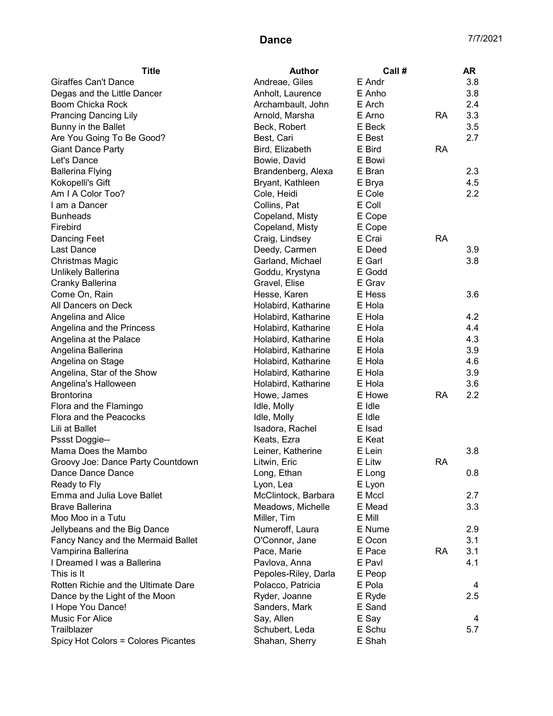| <b>Title</b>                        | <b>Author</b>        | Call#  |           | <b>AR</b> |
|-------------------------------------|----------------------|--------|-----------|-----------|
| <b>Giraffes Can't Dance</b>         | Andreae, Giles       | E Andr |           | 3.8       |
| Degas and the Little Dancer         | Anholt, Laurence     | E Anho |           | 3.8       |
| Boom Chicka Rock                    | Archambault, John    | E Arch |           | 2.4       |
| <b>Prancing Dancing Lily</b>        | Arnold, Marsha       | E Arno | <b>RA</b> | 3.3       |
| Bunny in the Ballet                 | Beck, Robert         | E Beck |           | 3.5       |
| Are You Going To Be Good?           | Best, Cari           | E Best |           | 2.7       |
| <b>Giant Dance Party</b>            | Bird, Elizabeth      | E Bird | <b>RA</b> |           |
| Let's Dance                         | Bowie, David         | E Bowi |           |           |
| <b>Ballerina Flying</b>             | Brandenberg, Alexa   | E Bran |           | 2.3       |
| Kokopelli's Gift                    | Bryant, Kathleen     | E Brya |           | 4.5       |
| Am I A Color Too?                   | Cole, Heidi          | E Cole |           | 2.2       |
| I am a Dancer                       | Collins, Pat         | E Coll |           |           |
| <b>Bunheads</b>                     | Copeland, Misty      | E Cope |           |           |
| Firebird                            | Copeland, Misty      | E Cope |           |           |
| <b>Dancing Feet</b>                 | Craig, Lindsey       | E Crai | <b>RA</b> |           |
| Last Dance                          | Deedy, Carmen        | E Deed |           | 3.9       |
| Christmas Magic                     | Garland, Michael     | E Garl |           | 3.8       |
| Unlikely Ballerina                  | Goddu, Krystyna      | E Godd |           |           |
| Cranky Ballerina                    | Gravel, Elise        | E Grav |           |           |
| Come On, Rain                       | Hesse, Karen         | E Hess |           | 3.6       |
| All Dancers on Deck                 | Holabird, Katharine  | E Hola |           |           |
| Angelina and Alice                  | Holabird, Katharine  | E Hola |           | 4.2       |
| Angelina and the Princess           | Holabird, Katharine  | E Hola |           | 4.4       |
| Angelina at the Palace              | Holabird, Katharine  | E Hola |           | 4.3       |
| Angelina Ballerina                  | Holabird, Katharine  | E Hola |           | 3.9       |
| Angelina on Stage                   | Holabird, Katharine  | E Hola |           | 4.6       |
| Angelina, Star of the Show          | Holabird, Katharine  | E Hola |           | 3.9       |
| Angelina's Halloween                | Holabird, Katharine  | E Hola |           | 3.6       |
| <b>Brontorina</b>                   | Howe, James          | E Howe | <b>RA</b> | 2.2       |
| Flora and the Flamingo              | Idle, Molly          | E Idle |           |           |
| Flora and the Peacocks              | Idle, Molly          | E Idle |           |           |
| Lili at Ballet                      | Isadora, Rachel      | E Isad |           |           |
| Pssst Doggie--                      | Keats, Ezra          | E Keat |           |           |
| Mama Does the Mambo                 | Leiner, Katherine    | E Lein |           | 3.8       |
| Groovy Joe: Dance Party Countdown   | Litwin, Eric         | E Litw | <b>RA</b> |           |
| Dance Dance Dance                   | Long, Ethan          | E Long |           | 0.8       |
| Ready to Fly                        | Lyon, Lea            | E Lyon |           |           |
| Emma and Julia Love Ballet          | McClintock, Barbara  | E Mccl |           | 2.7       |
| <b>Brave Ballerina</b>              | Meadows, Michelle    | E Mead |           | 3.3       |
| Moo Moo in a Tutu                   | Miller, Tim          | E Mill |           |           |
| Jellybeans and the Big Dance        | Numeroff, Laura      | E Nume |           | 2.9       |
| Fancy Nancy and the Mermaid Ballet  | O'Connor, Jane       | E Ocon |           | 3.1       |
| Vampirina Ballerina                 | Pace, Marie          | E Pace | <b>RA</b> | 3.1       |
| I Dreamed I was a Ballerina         | Pavlova, Anna        | E Pavl |           | 4.1       |
| This is It                          | Pepoles-Riley, Darla | E Peop |           |           |
| Rotten Richie and the Ultimate Dare | Polacco, Patricia    | E Pola |           | 4         |
| Dance by the Light of the Moon      | Ryder, Joanne        | E Ryde |           | 2.5       |
| I Hope You Dance!                   | Sanders, Mark        | E Sand |           |           |
| Music For Alice                     | Say, Allen           | E Say  |           | 4         |
| Trailblazer                         | Schubert, Leda       | E Schu |           | 5.7       |
| Spicy Hot Colors = Colores Picantes | Shahan, Sherry       | E Shah |           |           |
|                                     |                      |        |           |           |